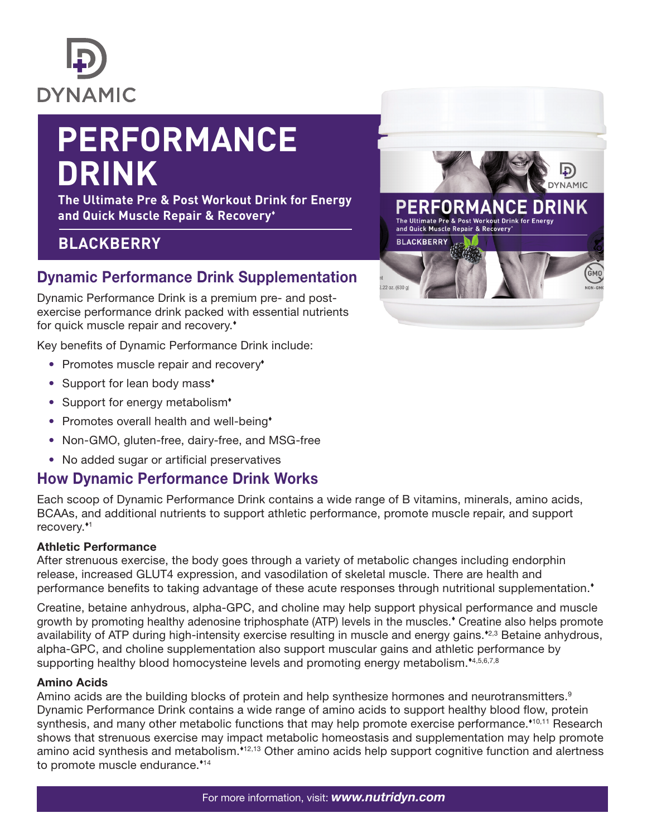

# **PERFORMANCE DRINK**

**The Ultimate Pre & Post Workout Drink for Energy and Quick Muscle Repair & Recovery**

# **BLACKBERRY**

# Dynamic Performance Drink Supplementation

Dynamic Performance Drink is a premium pre- and postexercise performance drink packed with essential nutrients for quick muscle repair and recovery.

Key benefits of Dynamic Performance Drink include:

- Promotes muscle repair and recovery<sup>\*</sup>
- Support for lean body mass<sup>\*</sup>
- Support for energy metabolism<sup>\*</sup>
- Promotes overall health and well-being<sup>\*</sup>
- Non-GMO, gluten-free, dairy-free, and MSG-free
- No added sugar or artificial preservatives

# How Dynamic Performance Drink Works

Each scoop of Dynamic Performance Drink contains a wide range of B vitamins, minerals, amino acids, BCAAs, and additional nutrients to support athletic performance, promote muscle repair, and support recovery.<sup>\*1</sup>

#### Athletic Performance

After strenuous exercise, the body goes through a variety of metabolic changes including endorphin release, increased GLUT4 expression, and vasodilation of skeletal muscle. There are health and performance benefits to taking advantage of these acute responses through nutritional supplementation.

Creatine, betaine anhydrous, alpha-GPC, and choline may help support physical performance and muscle growth by promoting healthy adenosine triphosphate (ATP) levels in the muscles. Creatine also helps promote availability of ATP during high-intensity exercise resulting in muscle and energy gains.<sup>42,3</sup> Betaine anhydrous, alpha-GPC, and choline supplementation also support muscular gains and athletic performance by supporting healthy blood homocysteine levels and promoting energy metabolism.<sup>\*4,5,6,7,8</sup>

#### Amino Acids

Amino acids are the building blocks of protein and help synthesize hormones and neurotransmitters.<sup>9</sup> Dynamic Performance Drink contains a wide range of amino acids to support healthy blood flow, protein synthesis, and many other metabolic functions that may help promote exercise performance.<sup>\*10,11</sup> Research shows that strenuous exercise may impact metabolic homeostasis and supplementation may help promote amino acid synthesis and metabolism.<sup>\*12,13</sup> Other amino acids help support cognitive function and alertness to promote muscle endurance.<sup>\*14</sup>